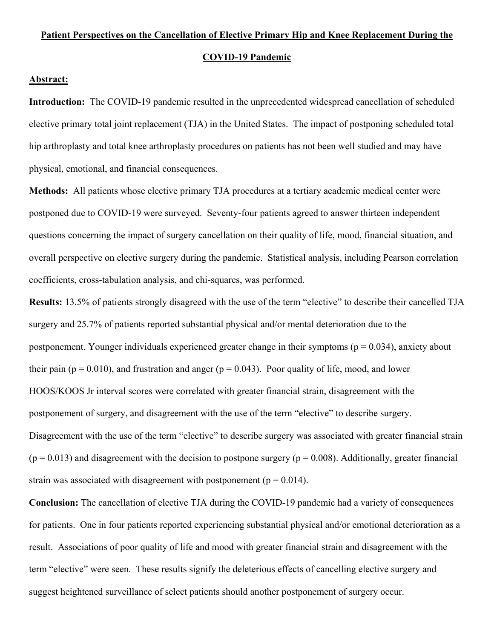## **Patient Perspectives on the Cancellation of Elective Primary Hip and Knee Replacement During the COVID-19 Pandemic**

## **Abstract:**

**Introduction:** The COVID-19 pandemic resulted in the unprecedented widespread cancellation of scheduled elective primary total joint replacement (TJA) in the United States. The impact of postponing scheduled total hip arthroplasty and total knee arthroplasty procedures on patients has not been well studied and may have physical, emotional, and financial consequences.

**Methods:** All patients whose elective primary TJA procedures at a tertiary academic medical center were postponed due to COVID-19 were surveyed. Seventy-four patients agreed to answer thirteen independent questions concerning the impact of surgery cancellation on their quality of life, mood, financial situation, and overall perspective on elective surgery during the pandemic. Statistical analysis, including Pearson correlation coefficients, cross-tabulation analysis, and chi-squares, was performed.

**Results:** 13.5% of patients strongly disagreed with the use of the term "elective" to describe their cancelled TJA surgery and 25.7% of patients reported substantial physical and/or mental deterioration due to the postponement. Younger individuals experienced greater change in their symptoms ( $p = 0.034$ ), anxiety about their pain ( $p = 0.010$ ), and frustration and anger ( $p = 0.043$ ). Poor quality of life, mood, and lower HOOS/KOOS Jr interval scores were correlated with greater financial strain, disagreement with the postponement of surgery, and disagreement with the use of the term "elective" to describe surgery. Disagreement with the use of the term "elective" to describe surgery was associated with greater financial strain  $(p = 0.013)$  and disagreement with the decision to postpone surgery ( $p = 0.008$ ). Additionally, greater financial strain was associated with disagreement with postponement ( $p = 0.014$ ).

**Conclusion:** The cancellation of elective TJA during the COVID-19 pandemic had a variety of consequences for patients. One in four patients reported experiencing substantial physical and/or emotional deterioration as a result. Associations of poor quality of life and mood with greater financial strain and disagreement with the term "elective" were seen. These results signify the deleterious effects of cancelling elective surgery and suggest heightened surveillance of select patients should another postponement of surgery occur.